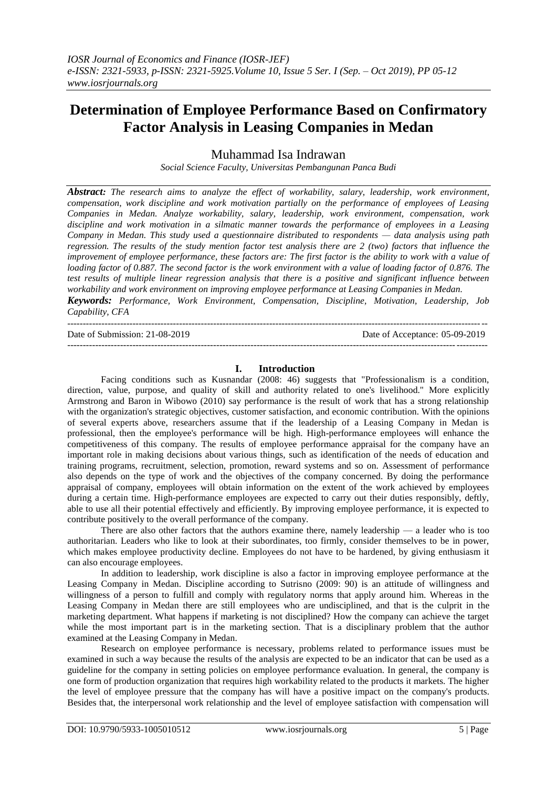# **Determination of Employee Performance Based on Confirmatory Factor Analysis in Leasing Companies in Medan**

Muhammad Isa Indrawan

*Social Science Faculty, Universitas Pembangunan Panca Budi*

*Abstract: The research aims to analyze the effect of workability, salary, leadership, work environment, compensation, work discipline and work motivation partially on the performance of employees of Leasing Companies in Medan. Analyze workability, salary, leadership, work environment, compensation, work discipline and work motivation in a silmatic manner towards the performance of employees in a Leasing Company in Medan. This study used a questionnaire distributed to respondents — data analysis using path regression. The results of the study mention factor test analysis there are 2 (two) factors that influence the improvement of employee performance, these factors are: The first factor is the ability to work with a value of loading factor of 0.887. The second factor is the work environment with a value of loading factor of 0.876. The test results of multiple linear regression analysis that there is a positive and significant influence between workability and work environment on improving employee performance at Leasing Companies in Medan. Keywords: Performance, Work Environment, Compensation, Discipline, Motivation, Leadership, Job* 

*Capability, CFA* ---------------------------------------------------------------------------------------------------------------------------------------

Date of Submission: 21-08-2019 Date of Acceptance: 05-09-2019

---------------------------------------------------------------------------------------------------------------------------------------

#### **I. Introduction**

Facing conditions such as Kusnandar (2008: 46) suggests that "Professionalism is a condition, direction, value, purpose, and quality of skill and authority related to one's livelihood." More explicitly Armstrong and Baron in Wibowo (2010) say performance is the result of work that has a strong relationship with the organization's strategic objectives, customer satisfaction, and economic contribution. With the opinions of several experts above, researchers assume that if the leadership of a Leasing Company in Medan is professional, then the employee's performance will be high. High-performance employees will enhance the competitiveness of this company. The results of employee performance appraisal for the company have an important role in making decisions about various things, such as identification of the needs of education and training programs, recruitment, selection, promotion, reward systems and so on. Assessment of performance also depends on the type of work and the objectives of the company concerned. By doing the performance appraisal of company, employees will obtain information on the extent of the work achieved by employees during a certain time. High-performance employees are expected to carry out their duties responsibly, deftly, able to use all their potential effectively and efficiently. By improving employee performance, it is expected to contribute positively to the overall performance of the company.

There are also other factors that the authors examine there, namely leadership — a leader who is too authoritarian. Leaders who like to look at their subordinates, too firmly, consider themselves to be in power, which makes employee productivity decline. Employees do not have to be hardened, by giving enthusiasm it can also encourage employees.

In addition to leadership, work discipline is also a factor in improving employee performance at the Leasing Company in Medan. Discipline according to Sutrisno (2009: 90) is an attitude of willingness and willingness of a person to fulfill and comply with regulatory norms that apply around him. Whereas in the Leasing Company in Medan there are still employees who are undisciplined, and that is the culprit in the marketing department. What happens if marketing is not disciplined? How the company can achieve the target while the most important part is in the marketing section. That is a disciplinary problem that the author examined at the Leasing Company in Medan.

Research on employee performance is necessary, problems related to performance issues must be examined in such a way because the results of the analysis are expected to be an indicator that can be used as a guideline for the company in setting policies on employee performance evaluation. In general, the company is one form of production organization that requires high workability related to the products it markets. The higher the level of employee pressure that the company has will have a positive impact on the company's products. Besides that, the interpersonal work relationship and the level of employee satisfaction with compensation will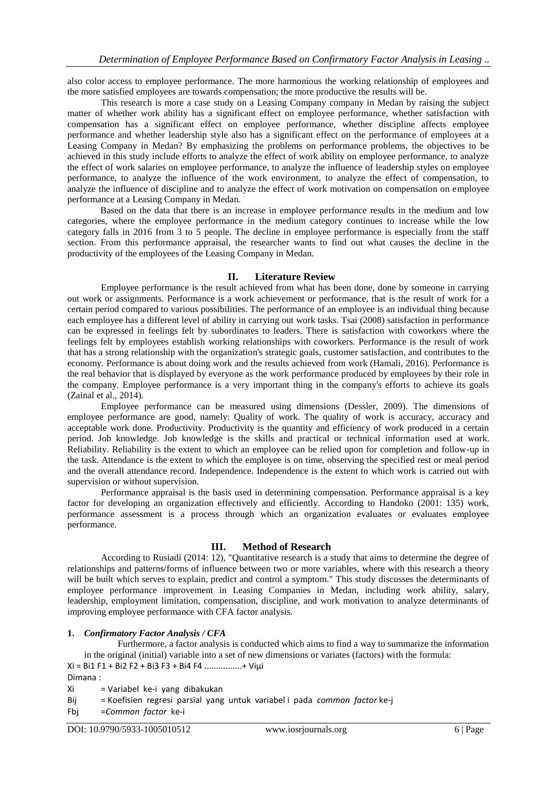also color access to employee performance. The more harmonious the working relationship of employees and the more satisfied employees are towards compensation; the more productive the results will be.

This research is more a case study on a Leasing Company company in Medan by raising the subject matter of whether work ability has a significant effect on employee performance, whether satisfaction with compensation has a significant effect on employee performance, whether discipline affects employee performance and whether leadership style also has a significant effect on the performance of employees at a Leasing Company in Medan? By emphasizing the problems on performance problems, the objectives to be achieved in this study include efforts to analyze the effect of work ability on employee performance, to analyze the effect of work salaries on employee performance, to analyze the influence of leadership styles on employee performance, to analyze the influence of the work environment, to analyze the effect of compensation, to analyze the influence of discipline and to analyze the effect of work motivation on compensation on employee performance at a Leasing Company in Medan.

Based on the data that there is an increase in employee performance results in the medium and low categories, where the employee performance in the medium category continues to increase while the low category falls in 2016 from 3 to 5 people. The decline in employee performance is especially from the staff section. From this performance appraisal, the researcher wants to find out what causes the decline in the productivity of the employees of the Leasing Company in Medan.

## **II. Literature Review**

Employee performance is the result achieved from what has been done, done by someone in carrying out work or assignments. Performance is a work achievement or performance, that is the result of work for a certain period compared to various possibilities. The performance of an employee is an individual thing because each employee has a different level of ability in carrying out work tasks. Tsai (2008) satisfaction in performance can be expressed in feelings felt by subordinates to leaders. There is satisfaction with coworkers where the feelings felt by employees establish working relationships with coworkers. Performance is the result of work that has a strong relationship with the organization's strategic goals, customer satisfaction, and contributes to the economy. Performance is about doing work and the results achieved from work (Hamali, 2016). Performance is the real behavior that is displayed by everyone as the work performance produced by employees by their role in the company. Employee performance is a very important thing in the company's efforts to achieve its goals (Zainal et al., 2014).

Employee performance can be measured using dimensions (Dessler, 2009). The dimensions of employee performance are good, namely: Quality of work. The quality of work is accuracy, accuracy and acceptable work done. Productivity. Productivity is the quantity and efficiency of work produced in a certain period. Job knowledge. Job knowledge is the skills and practical or technical information used at work. Reliability. Reliability is the extent to which an employee can be relied upon for completion and follow-up in the task. Attendance is the extent to which the employee is on time, observing the specified rest or meal period and the overall attendance record. Independence. Independence is the extent to which work is carried out with supervision or without supervision.

Performance appraisal is the basis used in determining compensation. Performance appraisal is a key factor for developing an organization effectively and efficiently. According to Handoko (2001: 135) work, performance assessment is a process through which an organization evaluates or evaluates employee performance.

## **III. Method of Research**

According to Rusiadi (2014: 12), "Quantitative research is a study that aims to determine the degree of relationships and patterns/forms of influence between two or more variables, where with this research a theory will be built which serves to explain, predict and control a symptom." This study discusses the determinants of employee performance improvement in Leasing Companies in Medan, including work ability, salary, leadership, employment limitation, compensation, discipline, and work motivation to analyze determinants of improving employee performance with CFA factor analysis.

#### **1.** *Confirmatory Factor Analysis / CFA*

Furthermore, a factor analysis is conducted which aims to find a way to summarize the information in the original (initial) variable into a set of new dimensions or variates (factors) with the formula: Xi = Bi1 F1 + Bi2 F2 + Bi3 F3 + Bi4 F4 ................+ Viµi

Dimana :

- Xi = Variabel ke-i yang dibakukan
- Bij = Koefisien regresi parsial yang untuk variabel i pada *common factor* ke-j
- Fbj =*Common factor* ke-i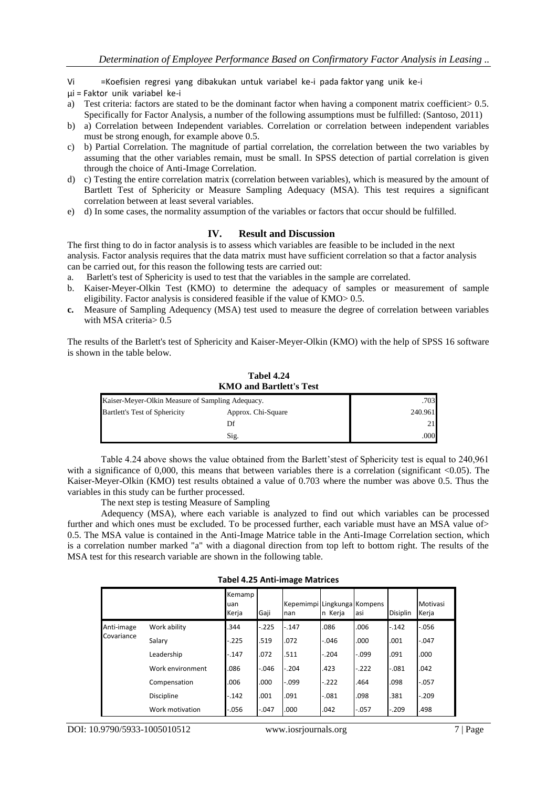- Vi =Koefisien regresi yang dibakukan untuk variabel ke-i pada faktor yang unik ke-i
- µi = Faktor unik variabel ke-i
- a) Test criteria: factors are stated to be the dominant factor when having a component matrix coefficient> 0.5. Specifically for Factor Analysis, a number of the following assumptions must be fulfilled: (Santoso, 2011)
- b) a) Correlation between Independent variables. Correlation or correlation between independent variables must be strong enough, for example above 0.5.
- c) b) Partial Correlation. The magnitude of partial correlation, the correlation between the two variables by assuming that the other variables remain, must be small. In SPSS detection of partial correlation is given through the choice of Anti-Image Correlation.
- d) c) Testing the entire correlation matrix (correlation between variables), which is measured by the amount of Bartlett Test of Sphericity or Measure Sampling Adequacy (MSA). This test requires a significant correlation between at least several variables.
- e) d) In some cases, the normality assumption of the variables or factors that occur should be fulfilled.

## **IV. Result and Discussion**

The first thing to do in factor analysis is to assess which variables are feasible to be included in the next analysis. Factor analysis requires that the data matrix must have sufficient correlation so that a factor analysis can be carried out, for this reason the following tests are carried out:

- a. Barlett's test of Sphericity is used to test that the variables in the sample are correlated.
- b. Kaiser-Meyer-Olkin Test (KMO) to determine the adequacy of samples or measurement of sample eligibility. Factor analysis is considered feasible if the value of KMO> 0.5.
- **c.** Measure of Sampling Adequency (MSA) test used to measure the degree of correlation between variables with MSA criteria> 0.5

The results of the Barlett's test of Sphericity and Kaiser-Meyer-Olkin (KMO) with the help of SPSS 16 software is shown in the table below.

**Tabel 4.24 KMO and Bartlett's Test** Kaiser-Meyer-Olkin Measure of Sampling Adequacy. . .703 Bartlett's Test of Sphericity Approx. Chi-Square 240.961  $\Gamma$  21

Table 4.24 above shows the value obtained from the Barlett'stest of Sphericity test is equal to 240,961 with a significance of 0,000, this means that between variables there is a correlation (significant <0.05). The Kaiser-Meyer-Olkin (KMO) test results obtained a value of 0.703 where the number was above 0.5. Thus the variables in this study can be further processed.

 $\text{Sig.}}$  .000

The next step is testing Measure of Sampling

Adequency (MSA), where each variable is analyzed to find out which variables can be processed further and which ones must be excluded. To be processed further, each variable must have an MSA value of> 0.5. The MSA value is contained in the Anti-Image Matrice table in the Anti-Image Correlation section, which is a correlation number marked "a" with a diagonal direction from top left to bottom right. The results of the MSA test for this research variable are shown in the following table.

| <b>Tabel 4.25 Anti-image Matrices</b> |  |                         |  |  |  |  |  |
|---------------------------------------|--|-------------------------|--|--|--|--|--|
| <b>Kemamp</b>                         |  |                         |  |  |  |  |  |
| uan                                   |  | Kepemimpi Lingkunga Kom |  |  |  |  |  |

|            |                  | <b>Kemamp</b><br>uan<br>Kerja | Gaji     | Kepemimpi Lingkunga Kompens<br>nan | n Kerja  | asi     | Disiplin | Motivasi<br>Kerja |
|------------|------------------|-------------------------------|----------|------------------------------------|----------|---------|----------|-------------------|
| Anti-image | Work ability     | .344                          | $-.225$  | $-.147$                            | .086     | .006    | $-.142$  | $-0.056$          |
| Covariance | Salary           | $-225$                        | .519     | .072                               | $-0.046$ | .000    | .001     | $-.047$           |
|            | Leadership       | $-.147$                       | .072     | .511                               | $-.204$  | $-.099$ | .091     | .000              |
|            | Work environment | .086                          | $-0.046$ | $-.204$                            | .423     | $-.222$ | $-.081$  | .042              |
|            | Compensation     | .006                          | .000     | $-.099$                            | $-.222$  | .464    | .098     | $-.057$           |
|            | Discipline       | $-.142$                       | .001     | .091                               | $-.081$  | .098    | .381     | $-.209$           |
|            | Work motivation  | $-0.056$                      | $-.047$  | .000                               | .042     | $-.057$ | $-.209$  | .498              |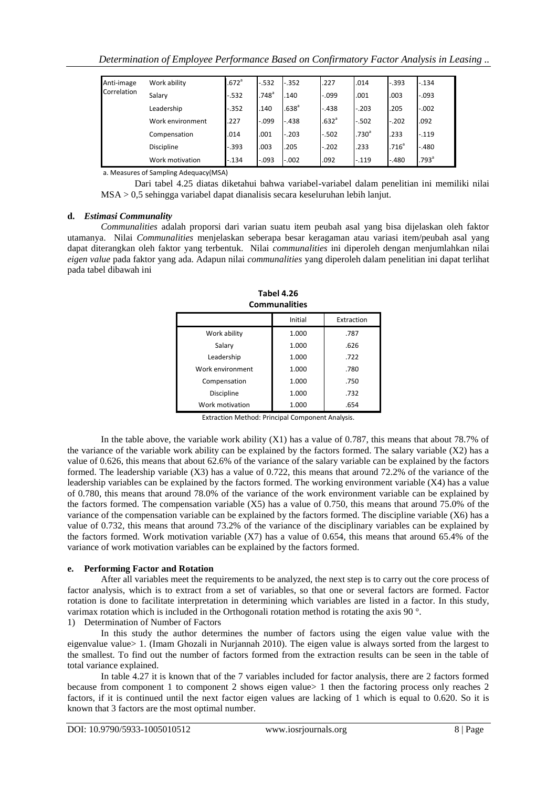| Anti-image  | Work ability      | .672 <sup>a</sup> | $-.532$             | $-.352$           | .227              | .014              | $-.393$           | $-.134$           |
|-------------|-------------------|-------------------|---------------------|-------------------|-------------------|-------------------|-------------------|-------------------|
| Correlation | Salary            | $-.532$           | $.748$ <sup>a</sup> | .140              | $-.099$           | .001              | .003              | $-.093$           |
|             | Leadership        | $-.352$           | .140                | .638 <sup>a</sup> | $-.438$           | $-.203$           | .205              | $-.002$           |
|             | Work environment  | .227              | $-.099$             | $-.438$           | .632 <sup>a</sup> | $-.502$           | $-.202$           | .092              |
|             | Compensation      | .014              | .001                | $-.203$           | $-.502$           | .730 <sup>a</sup> | .233              | $-.119$           |
|             | <b>Discipline</b> | $-.393$           | .003                | .205              | $-.202$           | .233              | .716 <sup>a</sup> | $-.480$           |
|             | Work motivation   | $-.134$           | $-.093$             | $-.002$           | .092              | $-.119$           | $-.480$           | .793 <sup>a</sup> |

a. Measures of Sampling Adequacy(MSA)

Dari tabel 4.25 diatas diketahui bahwa variabel-variabel dalam penelitian ini memiliki nilai MSA > 0,5 sehingga variabel dapat dianalisis secara keseluruhan lebih lanjut.

### **d.** *Estimasi Communality*

*Communalities* adalah proporsi dari varian suatu item peubah asal yang bisa dijelaskan oleh faktor utamanya. Nilai *Communalities* menjelaskan seberapa besar keragaman atau variasi item/peubah asal yang dapat diterangkan oleh faktor yang terbentuk. Nilai *communalities* ini diperoleh dengan menjumlahkan nilai *eigen value* pada faktor yang ada. Adapun nilai *communalities* yang diperoleh dalam penelitian ini dapat terlihat pada tabel dibawah ini

| <u>Communiques</u> |         |            |  |  |  |  |
|--------------------|---------|------------|--|--|--|--|
|                    | Initial | Extraction |  |  |  |  |
| Work ability       | 1.000   | .787       |  |  |  |  |
| Salary             | 1.000   | .626       |  |  |  |  |
| Leadership         | 1.000   | .722       |  |  |  |  |
| Work environment   | 1.000   | .780       |  |  |  |  |
| Compensation       | 1.000   | .750       |  |  |  |  |
| Discipline         | 1.000   | .732       |  |  |  |  |
| Work motivation    | 1.000   | .654       |  |  |  |  |

**Tabel 4.26 Communalities**

Extraction Method: Principal Component Analysis.

In the table above, the variable work ability (X1) has a value of 0.787, this means that about 78.7% of the variance of the variable work ability can be explained by the factors formed. The salary variable (X2) has a value of 0.626, this means that about 62.6% of the variance of the salary variable can be explained by the factors formed. The leadership variable (X3) has a value of 0.722, this means that around 72.2% of the variance of the leadership variables can be explained by the factors formed. The working environment variable (X4) has a value of 0.780, this means that around 78.0% of the variance of the work environment variable can be explained by the factors formed. The compensation variable (X5) has a value of 0.750, this means that around 75.0% of the variance of the compensation variable can be explained by the factors formed. The discipline variable (X6) has a value of 0.732, this means that around 73.2% of the variance of the disciplinary variables can be explained by the factors formed. Work motivation variable (X7) has a value of 0.654, this means that around 65.4% of the variance of work motivation variables can be explained by the factors formed.

#### **e. Performing Factor and Rotation**

After all variables meet the requirements to be analyzed, the next step is to carry out the core process of factor analysis, which is to extract from a set of variables, so that one or several factors are formed. Factor rotation is done to facilitate interpretation in determining which variables are listed in a factor. In this study, varimax rotation which is included in the Orthogonali rotation method is rotating the axis 90 °.

1) Determination of Number of Factors

In this study the author determines the number of factors using the eigen value value with the eigenvalue value> 1. (Imam Ghozali in Nurjannah 2010). The eigen value is always sorted from the largest to the smallest. To find out the number of factors formed from the extraction results can be seen in the table of total variance explained.

In table 4.27 it is known that of the 7 variables included for factor analysis, there are 2 factors formed because from component 1 to component 2 shows eigen value> 1 then the factoring process only reaches 2 factors, if it is continued until the next factor eigen values are lacking of 1 which is equal to 0.620. So it is known that 3 factors are the most optimal number.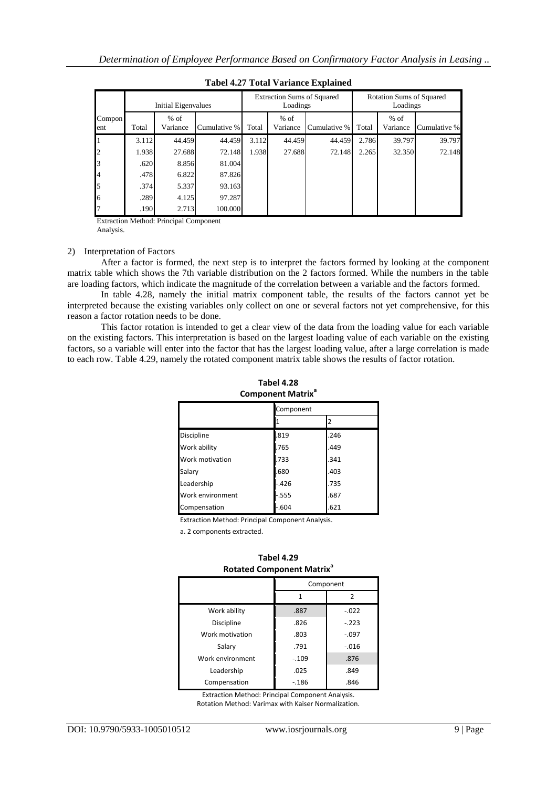|                          |       | Initial Eigenvalues |              |       | <b>Extraction Sums of Squared</b><br>Loadings |              |       | <b>Rotation Sums of Squared</b><br>Loadings |              |
|--------------------------|-------|---------------------|--------------|-------|-----------------------------------------------|--------------|-------|---------------------------------------------|--------------|
| Compon<br>ent            | Total | $%$ of<br>Variance  | Cumulative % | Total | $%$ of<br>Variance                            | Cumulative % | Total | $%$ of<br>Variance                          | Cumulative % |
| 1                        | 3.112 | 44.459              | 44.459       | 3.112 | 44.459                                        | 44.459       | 2.786 | 39.797                                      | 39.797       |
| $\overline{\mathbf{c}}$  | 1.938 | 27.688              | 72.148       | 1.938 | 27.688                                        | 72.148       | 2.265 | 32.350                                      | 72.148       |
| 3                        | .620  | 8.856               | 81.004       |       |                                               |              |       |                                             |              |
| $\overline{\mathcal{L}}$ | .478  | 6.822               | 87.826       |       |                                               |              |       |                                             |              |
| 5                        | .374  | 5.337               | 93.163       |       |                                               |              |       |                                             |              |
| 6                        | .289  | 4.125               | 97.287       |       |                                               |              |       |                                             |              |
| 7                        | .190  | 2.713               | 100.000      |       |                                               |              |       |                                             |              |

**Tabel 4.27 Total Variance Explained**

Extraction Method: Principal Component Analysis.

#### 2) Interpretation of Factors

After a factor is formed, the next step is to interpret the factors formed by looking at the component matrix table which shows the 7th variable distribution on the 2 factors formed. While the numbers in the table are loading factors, which indicate the magnitude of the correlation between a variable and the factors formed.

In table 4.28, namely the initial matrix component table, the results of the factors cannot yet be interpreted because the existing variables only collect on one or several factors not yet comprehensive, for this reason a factor rotation needs to be done.

This factor rotation is intended to get a clear view of the data from the loading value for each variable on the existing factors. This interpretation is based on the largest loading value of each variable on the existing factors, so a variable will enter into the factor that has the largest loading value, after a large correlation is made to each row. Table 4.29, namely the rotated component matrix table shows the results of factor rotation.

| Component Matrix  |           |      |  |  |  |  |
|-------------------|-----------|------|--|--|--|--|
|                   | Component |      |  |  |  |  |
|                   |           | 2    |  |  |  |  |
| <b>Discipline</b> | .819      | .246 |  |  |  |  |
| Work ability      | .765      | .449 |  |  |  |  |
| Work motivation   | .733      | .341 |  |  |  |  |
| Salary            | .680      | .403 |  |  |  |  |
| Leadership        | $-.426$   | .735 |  |  |  |  |
| Work environment  | $-.555$   | .687 |  |  |  |  |
| Compensation      | $-.604$   | .621 |  |  |  |  |

**Tabel 4.28 Component Matrix<sup>a</sup>**

Extraction Method: Principal Component Analysis.

a. 2 components extracted.

|                   | <b>Rotated Component Matrix<sup>ª</sup></b> |         |  |  |  |
|-------------------|---------------------------------------------|---------|--|--|--|
|                   | Component                                   |         |  |  |  |
|                   |                                             |         |  |  |  |
| Work ability      | .887                                        | $-.022$ |  |  |  |
| <b>Discipline</b> | .826                                        | $-.223$ |  |  |  |
| Work motivation   | .803                                        | $-.097$ |  |  |  |
| Salary            | .791                                        | $-.016$ |  |  |  |
| Work environment  | $-.109$                                     | .876    |  |  |  |

**Tabel 4.29 Rotated Component Matrix<sup>a</sup>**

Extraction Method: Principal Component Analysis. Rotation Method: Varimax with Kaiser Normalization.

Leadership .025 | .849 Compensation 186 .186 .846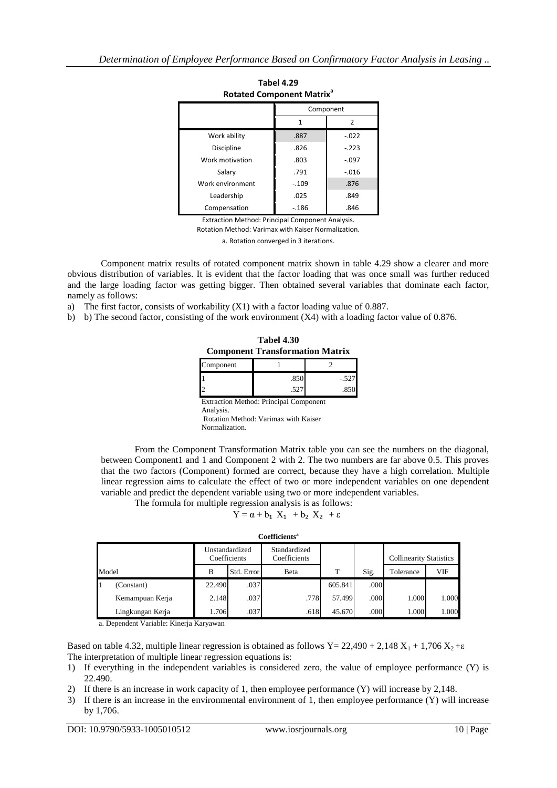| ROLALED COMPONENT MATH. |              |         |  |  |
|-------------------------|--------------|---------|--|--|
|                         | Component    |         |  |  |
|                         | $\mathbf{1}$ | 2       |  |  |
| Work ability            | .887         | $-.022$ |  |  |
| Discipline              | .826         | $-.223$ |  |  |
| Work motivation         | .803         | $-.097$ |  |  |
| Salary                  | .791         | $-.016$ |  |  |
| Work environment        | $-.109$      | .876    |  |  |
| Leadership              | .025         | .849    |  |  |
| Compensation            | $-186$       | .846    |  |  |

**Tabel 4.29 Rotated Component Matrix<sup>a</sup>**

Extraction Method: Principal Component Analysis.

Rotation Method: Varimax with Kaiser Normalization.

a. Rotation converged in 3 iterations.

Component matrix results of rotated component matrix shown in table 4.29 show a clearer and more obvious distribution of variables. It is evident that the factor loading that was once small was further reduced and the large loading factor was getting bigger. Then obtained several variables that dominate each factor, namely as follows:

a) The first factor, consists of workability (X1) with a factor loading value of 0.887.

b) b) The second factor, consisting of the work environment (X4) with a loading factor value of 0.876.

| <b>Tabel 4.30</b>                      |
|----------------------------------------|
| <b>Component Transformation Matrix</b> |

| Component      |                                               |       |
|----------------|-----------------------------------------------|-------|
|                | .850                                          | - 527 |
| $\overline{c}$ | .527                                          |       |
| Analysis.      | <b>Extraction Method: Principal Component</b> |       |

Rotation Method: Varimax with Kaiser Normalization.

From the Component Transformation Matrix table you can see the numbers on the diagonal, between Component1 and 1 and Component 2 with 2. The two numbers are far above 0.5. This proves that the two factors (Component) formed are correct, because they have a high correlation. Multiple linear regression aims to calculate the effect of two or more independent variables on one dependent variable and predict the dependent variable using two or more independent variables.

The formula for multiple regression analysis is as follows:

$$
Y = \alpha + b_1 X_1 + b_2 X_2 + \epsilon
$$

|       |                  |        | Unstandardized<br>Coefficients | Standardized<br>Coefficients |         |      | <b>Collinearity Statistics</b> |       |
|-------|------------------|--------|--------------------------------|------------------------------|---------|------|--------------------------------|-------|
| Model |                  | B      | Std. Error                     | Beta                         | T       | Sig. | <b>VIF</b><br>Tolerance        |       |
| 1     | (Constant)       | 22.490 | .037                           |                              | 605.841 | .000 |                                |       |
|       | Kemampuan Kerja  | 2.148  | .037                           | .778                         | 57.499  | .000 | 1.000                          | 1.000 |
|       | Lingkungan Kerja | 1.706  | .037                           | .618                         | 45.670  | .000 | 1.000                          | 1.000 |

a. Dependent Variable: Kinerja Karyawan

Based on table 4.32, multiple linear regression is obtained as follows Y= 22,490 + 2,148 X<sub>1</sub> + 1,706 X<sub>2</sub> +  $\varepsilon$ The interpretation of multiple linear regression equations is:

- 1) If everything in the independent variables is considered zero, the value of employee performance (Y) is 22.490.
- 2) If there is an increase in work capacity of 1, then employee performance (Y) will increase by 2,148.
- 3) If there is an increase in the environmental environment of 1, then employee performance (Y) will increase by 1,706.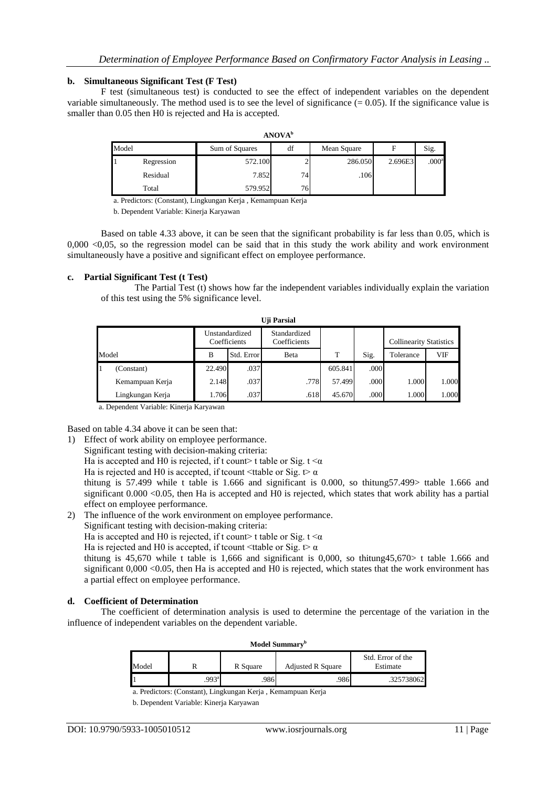#### **b. Simultaneous Significant Test (F Test)**

F test (simultaneous test) is conducted to see the effect of independent variables on the dependent variable simultaneously. The method used is to see the level of significance  $(= 0.05)$ . If the significance value is smaller than 0.05 then H0 is rejected and Ha is accepted.

| <b>ANOVA</b> <sup>b</sup> |            |                |     |             |         |                   |  |  |
|---------------------------|------------|----------------|-----|-------------|---------|-------------------|--|--|
| Model                     |            | Sum of Squares | df  | Mean Square | F       | Sig.              |  |  |
| 1                         | Regression | 572.100        |     | 286.050     | 2.696E3 | .000 <sup>a</sup> |  |  |
|                           | Residual   | 7.852          | 74  | .106        |         |                   |  |  |
|                           | Total      | 579.952        | 761 |             |         |                   |  |  |

a. Predictors: (Constant), Lingkungan Kerja , Kemampuan Kerja

b. Dependent Variable: Kinerja Karyawan

Based on table 4.33 above, it can be seen that the significant probability is far less than 0.05, which is  $0,000$  <0,05, so the regression model can be said that in this study the work ability and work environment simultaneously have a positive and significant effect on employee performance.

## **c. Partial Significant Test (t Test)**

The Partial Test (t) shows how far the independent variables individually explain the variation of this test using the 5% significance level.

| Uji Parsial |                  |        |                                |                              |         |      |                                |       |
|-------------|------------------|--------|--------------------------------|------------------------------|---------|------|--------------------------------|-------|
|             |                  |        | Unstandardized<br>Coefficients | Standardized<br>Coefficients |         |      | <b>Collinearity Statistics</b> |       |
| Model       |                  | B      | Std. Error                     | Beta                         | T       | Sig. | Tolerance                      | VIF   |
|             | (Constant)       | 22.490 | .037                           |                              | 605.841 | .000 |                                |       |
|             | Kemampuan Kerja  | 2.148  | .037                           | .778                         | 57.499  | .000 | 1.000                          | 1.000 |
|             | Lingkungan Kerja | 1.706  | .037                           | .618                         | 45.670  | .000 | 1.000                          | 1.000 |

a. Dependent Variable: Kinerja Karyawan

Based on table 4.34 above it can be seen that:

1) Effect of work ability on employee performance.

Significant testing with decision-making criteria:

Ha is accepted and H0 is rejected, if t count> t table or Sig.  $t < \alpha$ 

Ha is rejected and H0 is accepted, if tcount  $\lt$ ttable or Sig. t  $\alpha$ 

thitung is 57.499 while t table is 1.666 and significant is 0.000, so thitung57.499> ttable 1.666 and significant 0.000 <0.05, then Ha is accepted and H0 is rejected, which states that work ability has a partial effect on employee performance.

2) The influence of the work environment on employee performance.

Significant testing with decision-making criteria:

Ha is accepted and H0 is rejected, if t count > t table or Sig.  $t < \alpha$ 

Ha is rejected and H0 is accepted, if tcount <ttable or Sig. t  $\alpha$ 

thitung is 45,670 while t table is 1,666 and significant is 0,000, so thitung45,670> t table 1.666 and significant 0,000 <0.05, then Ha is accepted and H0 is rejected, which states that the work environment has a partial effect on employee performance.

#### **d. Coefficient of Determination**

The coefficient of determination analysis is used to determine the percentage of the variation in the influence of independent variables on the dependent variable.

| Model Summary <sup>b</sup> |                     |          |                          |                               |  |  |  |
|----------------------------|---------------------|----------|--------------------------|-------------------------------|--|--|--|
| Model                      |                     | R Square | <b>Adjusted R Square</b> | Std. Error of the<br>Estimate |  |  |  |
|                            | $.993$ <sup>a</sup> | 986      | 986                      | .325738062                    |  |  |  |

a. Predictors: (Constant), Lingkungan Kerja , Kemampuan Kerja

b. Dependent Variable: Kinerja Karyawan